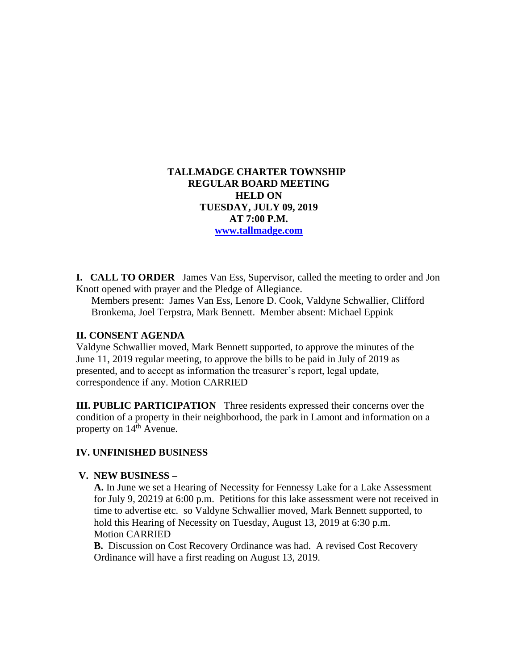## **TALLMADGE CHARTER TOWNSHIP REGULAR BOARD MEETING HELD ON TUESDAY, JULY 09, 2019 AT 7:00 P.M. [www.tallmadge.com](http://www.tallmadge.com/)**

**I. CALL TO ORDER** James Van Ess, Supervisor, called the meeting to order and Jon Knott opened with prayer and the Pledge of Allegiance.

Members present: James Van Ess, Lenore D. Cook, Valdyne Schwallier, Clifford Bronkema, Joel Terpstra, Mark Bennett. Member absent: Michael Eppink

## **II. CONSENT AGENDA**

Valdyne Schwallier moved, Mark Bennett supported, to approve the minutes of the June 11, 2019 regular meeting, to approve the bills to be paid in July of 2019 as presented, and to accept as information the treasurer's report, legal update, correspondence if any. Motion CARRIED

**III. PUBLIC PARTICIPATION** Three residents expressed their concerns over the condition of a property in their neighborhood, the park in Lamont and information on a property on  $14^{th}$  Avenue.

# **IV. UNFINISHED BUSINESS**

#### **V. NEW BUSINESS –**

 **A.** In June we set a Hearing of Necessity for Fennessy Lake for a Lake Assessment for July 9, 20219 at 6:00 p.m. Petitions for this lake assessment were not received in time to advertise etc. so Valdyne Schwallier moved, Mark Bennett supported, to hold this Hearing of Necessity on Tuesday, August 13, 2019 at 6:30 p.m. Motion CARRIED

**B.** Discussion on Cost Recovery Ordinance was had. A revised Cost Recovery Ordinance will have a first reading on August 13, 2019.